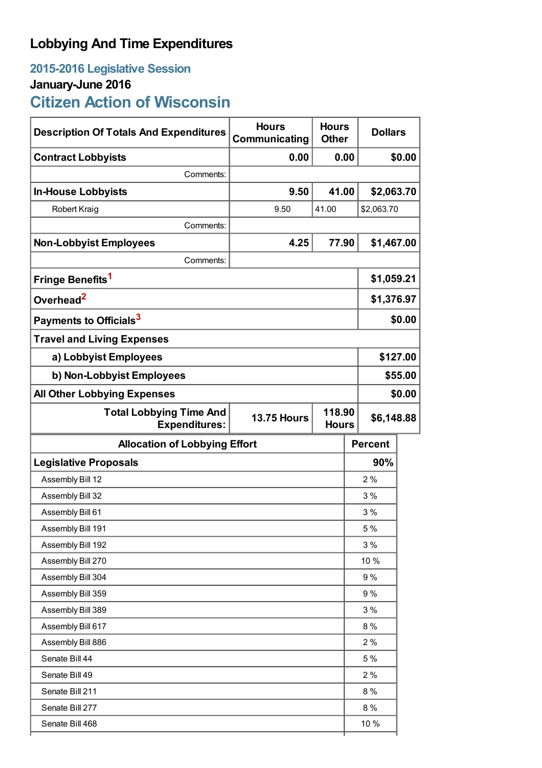# **Lobbying And Time Expenditures**

## **2015-2016 Legislative Session January-June 2016**

# **Citizen Action of Wisconsin**

| <b>Description Of Totals And Expenditures</b>          | <b>Hours</b><br>Communicating | <b>Hours</b><br><b>Other</b> | <b>Dollars</b>                       |            |  |
|--------------------------------------------------------|-------------------------------|------------------------------|--------------------------------------|------------|--|
| <b>Contract Lobbyists</b>                              | 0.00                          | 0.00                         |                                      | \$0.00     |  |
| Comments:                                              |                               |                              |                                      |            |  |
| <b>In-House Lobbyists</b>                              | 9.50                          | 41.00                        | \$2,063.70                           |            |  |
| <b>Robert Kraig</b>                                    | 9.50                          | 41.00                        | \$2,063.70                           |            |  |
| Comments:                                              |                               |                              |                                      |            |  |
| <b>Non-Lobbyist Employees</b>                          | 4.25                          | 77.90                        | \$1,467.00                           |            |  |
| Comments:                                              |                               |                              |                                      |            |  |
| Fringe Benefits <sup>1</sup>                           |                               |                              | \$1,059.21                           |            |  |
| Overhead <sup>2</sup>                                  |                               |                              |                                      | \$1,376.97 |  |
| Payments to Officials <sup>3</sup>                     |                               |                              |                                      | \$0.00     |  |
| <b>Travel and Living Expenses</b>                      |                               |                              |                                      |            |  |
| a) Lobbyist Employees                                  |                               |                              |                                      | \$127.00   |  |
| b) Non-Lobbyist Employees                              |                               |                              |                                      | \$55.00    |  |
| <b>All Other Lobbying Expenses</b>                     |                               |                              |                                      | \$0.00     |  |
| <b>Total Lobbying Time And</b><br><b>Expenditures:</b> | <b>13.75 Hours</b>            |                              | 118.90<br>\$6,148.88<br><b>Hours</b> |            |  |
| <b>Allocation of Lobbying Effort</b>                   |                               |                              | <b>Percent</b>                       |            |  |
| <b>Legislative Proposals</b>                           |                               |                              | 90%                                  |            |  |
| Assembly Bill 12                                       |                               |                              | 2%                                   |            |  |
| Assembly Bill 32                                       |                               |                              | 3%                                   |            |  |
| Assembly Bill 61                                       |                               |                              | 3 %                                  |            |  |
| Assembly Bill 191                                      |                               |                              | 5 %                                  |            |  |
| Assembly Bill 192                                      |                               |                              | 3%                                   |            |  |
| Assembly Bill 270                                      |                               |                              | 10 %                                 |            |  |
| Assembly Bill 304                                      |                               |                              | 9 %                                  |            |  |
| Assembly Bill 359                                      |                               |                              | 9 %                                  |            |  |
| Assembly Bill 389                                      |                               |                              | 3%                                   |            |  |
| Assembly Bill 617                                      |                               |                              | 8 %                                  |            |  |
| Assembly Bill 886                                      |                               |                              | 2%                                   |            |  |
|                                                        |                               |                              | 5 %                                  |            |  |
| Senate Bill 44                                         |                               |                              |                                      |            |  |
| Senate Bill 49                                         |                               |                              | 2%                                   |            |  |
| Senate Bill 211                                        |                               |                              | 8%                                   |            |  |
| Senate Bill 277                                        |                               |                              | 8 %                                  |            |  |